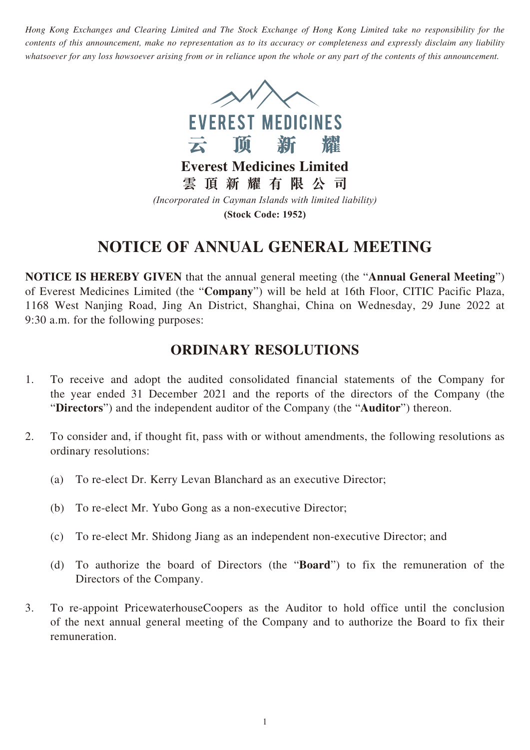*Hong Kong Exchanges and Clearing Limited and The Stock Exchange of Hong Kong Limited take no responsibility for the contents of this announcement, make no representation as to its accuracy or completeness and expressly disclaim any liability whatsoever for any loss howsoever arising from or in reliance upon the whole or any part of the contents of this announcement.*



**Everest Medicines Limited**

**雲頂新耀有限公司**

*(Incorporated in Cayman Islands with limited liability)* **(Stock Code: 1952)**

# **NOTICE OF ANNUAL GENERAL MEETING**

**NOTICE IS HEREBY GIVEN** that the annual general meeting (the "**Annual General Meeting**") of Everest Medicines Limited (the "**Company**") will be held at 16th Floor, CITIC Pacific Plaza, 1168 West Nanjing Road, Jing An District, Shanghai, China on Wednesday, 29 June 2022 at 9:30 a.m. for the following purposes:

## **ORDINARY RESOLUTIONS**

- 1. To receive and adopt the audited consolidated financial statements of the Company for the year ended 31 December 2021 and the reports of the directors of the Company (the "**Directors**") and the independent auditor of the Company (the "**Auditor**") thereon.
- 2. To consider and, if thought fit, pass with or without amendments, the following resolutions as ordinary resolutions:
	- (a) To re-elect Dr. Kerry Levan Blanchard as an executive Director;
	- (b) To re-elect Mr. Yubo Gong as a non-executive Director;
	- (c) To re-elect Mr. Shidong Jiang as an independent non-executive Director; and
	- (d) To authorize the board of Directors (the "**Board**") to fix the remuneration of the Directors of the Company.
- 3. To re-appoint PricewaterhouseCoopers as the Auditor to hold office until the conclusion of the next annual general meeting of the Company and to authorize the Board to fix their remuneration.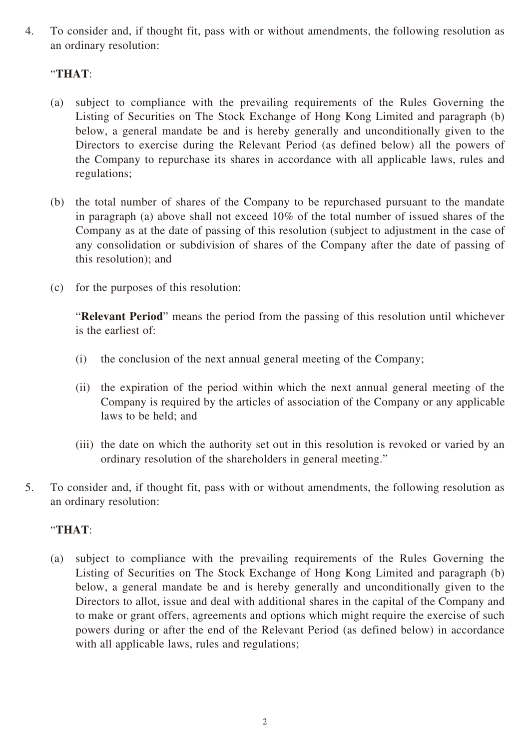4. To consider and, if thought fit, pass with or without amendments, the following resolution as an ordinary resolution:

### "**THAT**:

- (a) subject to compliance with the prevailing requirements of the Rules Governing the Listing of Securities on The Stock Exchange of Hong Kong Limited and paragraph (b) below, a general mandate be and is hereby generally and unconditionally given to the Directors to exercise during the Relevant Period (as defined below) all the powers of the Company to repurchase its shares in accordance with all applicable laws, rules and regulations;
- (b) the total number of shares of the Company to be repurchased pursuant to the mandate in paragraph (a) above shall not exceed 10% of the total number of issued shares of the Company as at the date of passing of this resolution (subject to adjustment in the case of any consolidation or subdivision of shares of the Company after the date of passing of this resolution); and
- (c) for the purposes of this resolution:

"**Relevant Period**" means the period from the passing of this resolution until whichever is the earliest of:

- (i) the conclusion of the next annual general meeting of the Company;
- (ii) the expiration of the period within which the next annual general meeting of the Company is required by the articles of association of the Company or any applicable laws to be held; and
- (iii) the date on which the authority set out in this resolution is revoked or varied by an ordinary resolution of the shareholders in general meeting."
- 5. To consider and, if thought fit, pass with or without amendments, the following resolution as an ordinary resolution:

### "**THAT**:

(a) subject to compliance with the prevailing requirements of the Rules Governing the Listing of Securities on The Stock Exchange of Hong Kong Limited and paragraph (b) below, a general mandate be and is hereby generally and unconditionally given to the Directors to allot, issue and deal with additional shares in the capital of the Company and to make or grant offers, agreements and options which might require the exercise of such powers during or after the end of the Relevant Period (as defined below) in accordance with all applicable laws, rules and regulations;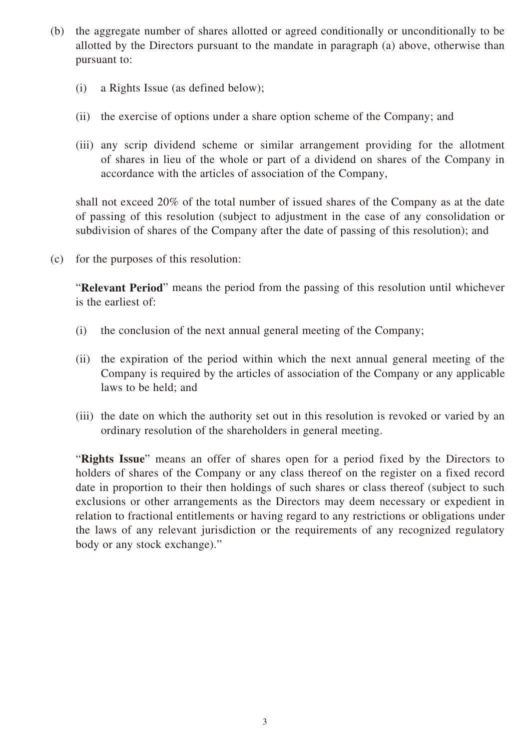- (b) the aggregate number of shares allotted or agreed conditionally or unconditionally to be allotted by the Directors pursuant to the mandate in paragraph (a) above, otherwise than pursuant to:
	- (i) a Rights Issue (as defined below);
	- (ii) the exercise of options under a share option scheme of the Company; and
	- (iii) any scrip dividend scheme or similar arrangement providing for the allotment of shares in lieu of the whole or part of a dividend on shares of the Company in accordance with the articles of association of the Company,

shall not exceed 20% of the total number of issued shares of the Company as at the date of passing of this resolution (subject to adjustment in the case of any consolidation or subdivision of shares of the Company after the date of passing of this resolution); and

(c) for the purposes of this resolution:

"**Relevant Period**" means the period from the passing of this resolution until whichever is the earliest of:

- (i) the conclusion of the next annual general meeting of the Company;
- (ii) the expiration of the period within which the next annual general meeting of the Company is required by the articles of association of the Company or any applicable laws to be held; and
- (iii) the date on which the authority set out in this resolution is revoked or varied by an ordinary resolution of the shareholders in general meeting.

"**Rights Issue**" means an offer of shares open for a period fixed by the Directors to holders of shares of the Company or any class thereof on the register on a fixed record date in proportion to their then holdings of such shares or class thereof (subject to such exclusions or other arrangements as the Directors may deem necessary or expedient in relation to fractional entitlements or having regard to any restrictions or obligations under the laws of any relevant jurisdiction or the requirements of any recognized regulatory body or any stock exchange)."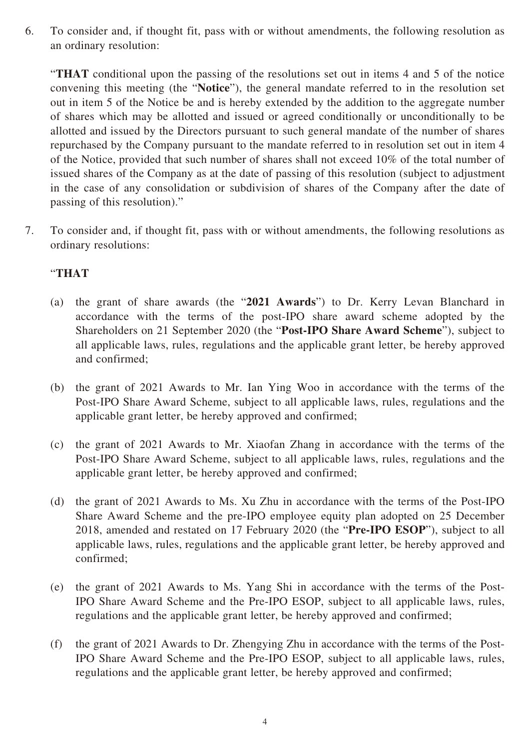6. To consider and, if thought fit, pass with or without amendments, the following resolution as an ordinary resolution:

"**THAT** conditional upon the passing of the resolutions set out in items 4 and 5 of the notice convening this meeting (the "**Notice**"), the general mandate referred to in the resolution set out in item 5 of the Notice be and is hereby extended by the addition to the aggregate number of shares which may be allotted and issued or agreed conditionally or unconditionally to be allotted and issued by the Directors pursuant to such general mandate of the number of shares repurchased by the Company pursuant to the mandate referred to in resolution set out in item 4 of the Notice, provided that such number of shares shall not exceed 10% of the total number of issued shares of the Company as at the date of passing of this resolution (subject to adjustment in the case of any consolidation or subdivision of shares of the Company after the date of passing of this resolution)."

7. To consider and, if thought fit, pass with or without amendments, the following resolutions as ordinary resolutions:

#### "**THAT**

- (a) the grant of share awards (the "**2021 Awards**") to Dr. Kerry Levan Blanchard in accordance with the terms of the post-IPO share award scheme adopted by the Shareholders on 21 September 2020 (the "**Post-IPO Share Award Scheme**"), subject to all applicable laws, rules, regulations and the applicable grant letter, be hereby approved and confirmed;
- (b) the grant of 2021 Awards to Mr. Ian Ying Woo in accordance with the terms of the Post-IPO Share Award Scheme, subject to all applicable laws, rules, regulations and the applicable grant letter, be hereby approved and confirmed;
- (c) the grant of 2021 Awards to Mr. Xiaofan Zhang in accordance with the terms of the Post-IPO Share Award Scheme, subject to all applicable laws, rules, regulations and the applicable grant letter, be hereby approved and confirmed;
- (d) the grant of 2021 Awards to Ms. Xu Zhu in accordance with the terms of the Post-IPO Share Award Scheme and the pre-IPO employee equity plan adopted on 25 December 2018, amended and restated on 17 February 2020 (the "**Pre-IPO ESOP**"), subject to all applicable laws, rules, regulations and the applicable grant letter, be hereby approved and confirmed;
- (e) the grant of 2021 Awards to Ms. Yang Shi in accordance with the terms of the Post-IPO Share Award Scheme and the Pre-IPO ESOP, subject to all applicable laws, rules, regulations and the applicable grant letter, be hereby approved and confirmed;
- (f) the grant of 2021 Awards to Dr. Zhengying Zhu in accordance with the terms of the Post-IPO Share Award Scheme and the Pre-IPO ESOP, subject to all applicable laws, rules, regulations and the applicable grant letter, be hereby approved and confirmed;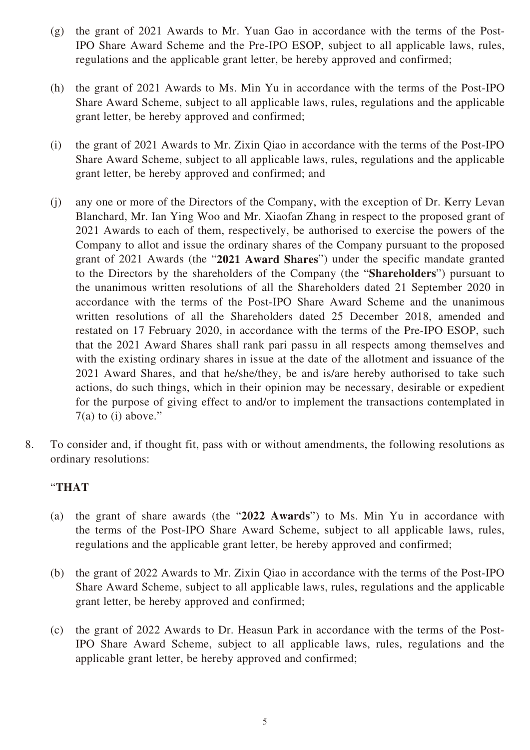- (g) the grant of 2021 Awards to Mr. Yuan Gao in accordance with the terms of the Post-IPO Share Award Scheme and the Pre-IPO ESOP, subject to all applicable laws, rules, regulations and the applicable grant letter, be hereby approved and confirmed;
- (h) the grant of 2021 Awards to Ms. Min Yu in accordance with the terms of the Post-IPO Share Award Scheme, subject to all applicable laws, rules, regulations and the applicable grant letter, be hereby approved and confirmed;
- (i) the grant of 2021 Awards to Mr. Zixin Qiao in accordance with the terms of the Post-IPO Share Award Scheme, subject to all applicable laws, rules, regulations and the applicable grant letter, be hereby approved and confirmed; and
- (j) any one or more of the Directors of the Company, with the exception of Dr. Kerry Levan Blanchard, Mr. Ian Ying Woo and Mr. Xiaofan Zhang in respect to the proposed grant of 2021 Awards to each of them, respectively, be authorised to exercise the powers of the Company to allot and issue the ordinary shares of the Company pursuant to the proposed grant of 2021 Awards (the "**2021 Award Shares**") under the specific mandate granted to the Directors by the shareholders of the Company (the "**Shareholders**") pursuant to the unanimous written resolutions of all the Shareholders dated 21 September 2020 in accordance with the terms of the Post-IPO Share Award Scheme and the unanimous written resolutions of all the Shareholders dated 25 December 2018, amended and restated on 17 February 2020, in accordance with the terms of the Pre-IPO ESOP, such that the 2021 Award Shares shall rank pari passu in all respects among themselves and with the existing ordinary shares in issue at the date of the allotment and issuance of the 2021 Award Shares, and that he/she/they, be and is/are hereby authorised to take such actions, do such things, which in their opinion may be necessary, desirable or expedient for the purpose of giving effect to and/or to implement the transactions contemplated in  $7(a)$  to (i) above."
- 8. To consider and, if thought fit, pass with or without amendments, the following resolutions as ordinary resolutions:

### "**THAT**

- (a) the grant of share awards (the "**2022 Awards**") to Ms. Min Yu in accordance with the terms of the Post-IPO Share Award Scheme, subject to all applicable laws, rules, regulations and the applicable grant letter, be hereby approved and confirmed;
- (b) the grant of 2022 Awards to Mr. Zixin Qiao in accordance with the terms of the Post-IPO Share Award Scheme, subject to all applicable laws, rules, regulations and the applicable grant letter, be hereby approved and confirmed;
- (c) the grant of 2022 Awards to Dr. Heasun Park in accordance with the terms of the Post-IPO Share Award Scheme, subject to all applicable laws, rules, regulations and the applicable grant letter, be hereby approved and confirmed;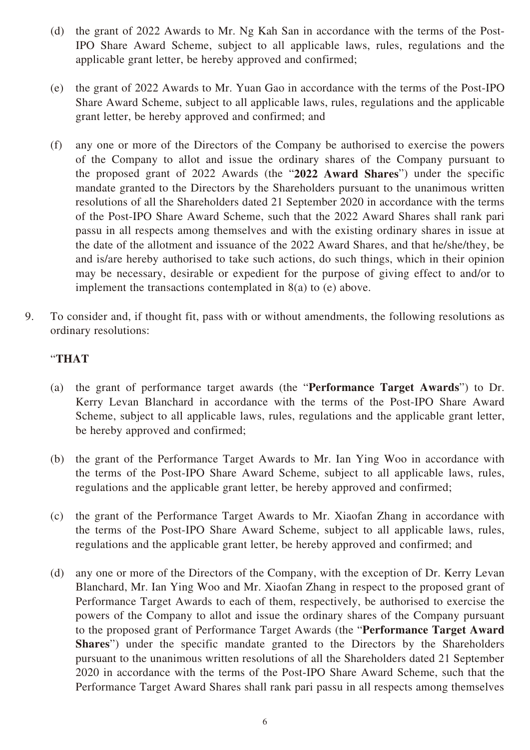- (d) the grant of 2022 Awards to Mr. Ng Kah San in accordance with the terms of the Post-IPO Share Award Scheme, subject to all applicable laws, rules, regulations and the applicable grant letter, be hereby approved and confirmed;
- (e) the grant of 2022 Awards to Mr. Yuan Gao in accordance with the terms of the Post-IPO Share Award Scheme, subject to all applicable laws, rules, regulations and the applicable grant letter, be hereby approved and confirmed; and
- (f) any one or more of the Directors of the Company be authorised to exercise the powers of the Company to allot and issue the ordinary shares of the Company pursuant to the proposed grant of 2022 Awards (the "**2022 Award Shares**") under the specific mandate granted to the Directors by the Shareholders pursuant to the unanimous written resolutions of all the Shareholders dated 21 September 2020 in accordance with the terms of the Post-IPO Share Award Scheme, such that the 2022 Award Shares shall rank pari passu in all respects among themselves and with the existing ordinary shares in issue at the date of the allotment and issuance of the 2022 Award Shares, and that he/she/they, be and is/are hereby authorised to take such actions, do such things, which in their opinion may be necessary, desirable or expedient for the purpose of giving effect to and/or to implement the transactions contemplated in 8(a) to (e) above.
- 9. To consider and, if thought fit, pass with or without amendments, the following resolutions as ordinary resolutions:

### "**THAT**

- (a) the grant of performance target awards (the "**Performance Target Awards**") to Dr. Kerry Levan Blanchard in accordance with the terms of the Post-IPO Share Award Scheme, subject to all applicable laws, rules, regulations and the applicable grant letter, be hereby approved and confirmed;
- (b) the grant of the Performance Target Awards to Mr. Ian Ying Woo in accordance with the terms of the Post-IPO Share Award Scheme, subject to all applicable laws, rules, regulations and the applicable grant letter, be hereby approved and confirmed;
- (c) the grant of the Performance Target Awards to Mr. Xiaofan Zhang in accordance with the terms of the Post-IPO Share Award Scheme, subject to all applicable laws, rules, regulations and the applicable grant letter, be hereby approved and confirmed; and
- (d) any one or more of the Directors of the Company, with the exception of Dr. Kerry Levan Blanchard, Mr. Ian Ying Woo and Mr. Xiaofan Zhang in respect to the proposed grant of Performance Target Awards to each of them, respectively, be authorised to exercise the powers of the Company to allot and issue the ordinary shares of the Company pursuant to the proposed grant of Performance Target Awards (the "**Performance Target Award Shares**") under the specific mandate granted to the Directors by the Shareholders pursuant to the unanimous written resolutions of all the Shareholders dated 21 September 2020 in accordance with the terms of the Post-IPO Share Award Scheme, such that the Performance Target Award Shares shall rank pari passu in all respects among themselves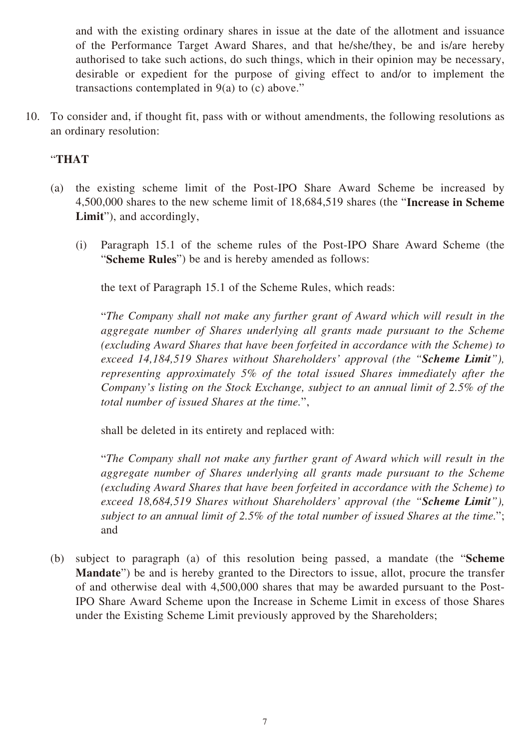and with the existing ordinary shares in issue at the date of the allotment and issuance of the Performance Target Award Shares, and that he/she/they, be and is/are hereby authorised to take such actions, do such things, which in their opinion may be necessary, desirable or expedient for the purpose of giving effect to and/or to implement the transactions contemplated in  $9(a)$  to (c) above."

10. To consider and, if thought fit, pass with or without amendments, the following resolutions as an ordinary resolution:

#### "**THAT**

- (a) the existing scheme limit of the Post-IPO Share Award Scheme be increased by 4,500,000 shares to the new scheme limit of 18,684,519 shares (the "**Increase in Scheme Limit**"), and accordingly,
	- (i) Paragraph 15.1 of the scheme rules of the Post-IPO Share Award Scheme (the "**Scheme Rules**") be and is hereby amended as follows:

the text of Paragraph 15.1 of the Scheme Rules, which reads:

"*The Company shall not make any further grant of Award which will result in the aggregate number of Shares underlying all grants made pursuant to the Scheme (excluding Award Shares that have been forfeited in accordance with the Scheme) to exceed 14,184,519 Shares without Shareholders' approval (the "Scheme Limit"), representing approximately 5% of the total issued Shares immediately after the Company's listing on the Stock Exchange, subject to an annual limit of 2.5% of the total number of issued Shares at the time.*",

shall be deleted in its entirety and replaced with:

"*The Company shall not make any further grant of Award which will result in the aggregate number of Shares underlying all grants made pursuant to the Scheme (excluding Award Shares that have been forfeited in accordance with the Scheme) to exceed 18,684,519 Shares without Shareholders' approval (the "Scheme Limit"), subject to an annual limit of 2.5% of the total number of issued Shares at the time.*"; and

(b) subject to paragraph (a) of this resolution being passed, a mandate (the "**Scheme Mandate**") be and is hereby granted to the Directors to issue, allot, procure the transfer of and otherwise deal with 4,500,000 shares that may be awarded pursuant to the Post-IPO Share Award Scheme upon the Increase in Scheme Limit in excess of those Shares under the Existing Scheme Limit previously approved by the Shareholders;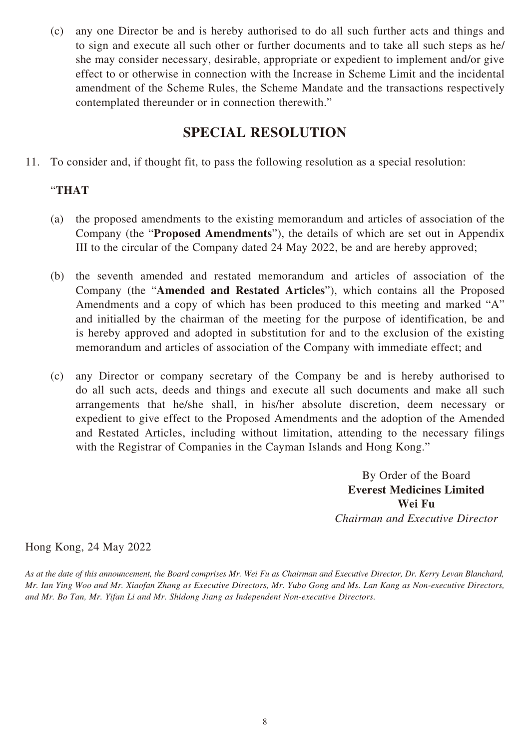(c) any one Director be and is hereby authorised to do all such further acts and things and to sign and execute all such other or further documents and to take all such steps as he/ she may consider necessary, desirable, appropriate or expedient to implement and/or give effect to or otherwise in connection with the Increase in Scheme Limit and the incidental amendment of the Scheme Rules, the Scheme Mandate and the transactions respectively contemplated thereunder or in connection therewith."

## **SPECIAL RESOLUTION**

11. To consider and, if thought fit, to pass the following resolution as a special resolution:

### "**THAT**

- (a) the proposed amendments to the existing memorandum and articles of association of the Company (the "**Proposed Amendments**"), the details of which are set out in Appendix III to the circular of the Company dated 24 May 2022, be and are hereby approved;
- (b) the seventh amended and restated memorandum and articles of association of the Company (the "**Amended and Restated Articles**"), which contains all the Proposed Amendments and a copy of which has been produced to this meeting and marked "A" and initialled by the chairman of the meeting for the purpose of identification, be and is hereby approved and adopted in substitution for and to the exclusion of the existing memorandum and articles of association of the Company with immediate effect; and
- (c) any Director or company secretary of the Company be and is hereby authorised to do all such acts, deeds and things and execute all such documents and make all such arrangements that he/she shall, in his/her absolute discretion, deem necessary or expedient to give effect to the Proposed Amendments and the adoption of the Amended and Restated Articles, including without limitation, attending to the necessary filings with the Registrar of Companies in the Cayman Islands and Hong Kong."

By Order of the Board **Everest Medicines Limited Wei Fu** *Chairman and Executive Director*

Hong Kong, 24 May 2022

*As at the date of this announcement, the Board comprises Mr. Wei Fu as Chairman and Executive Director, Dr. Kerry Levan Blanchard, Mr. Ian Ying Woo and Mr. Xiaofan Zhang as Executive Directors, Mr. Yubo Gong and Ms. Lan Kang as Non-executive Directors, and Mr. Bo Tan, Mr. Yifan Li and Mr. Shidong Jiang as Independent Non-executive Directors.*